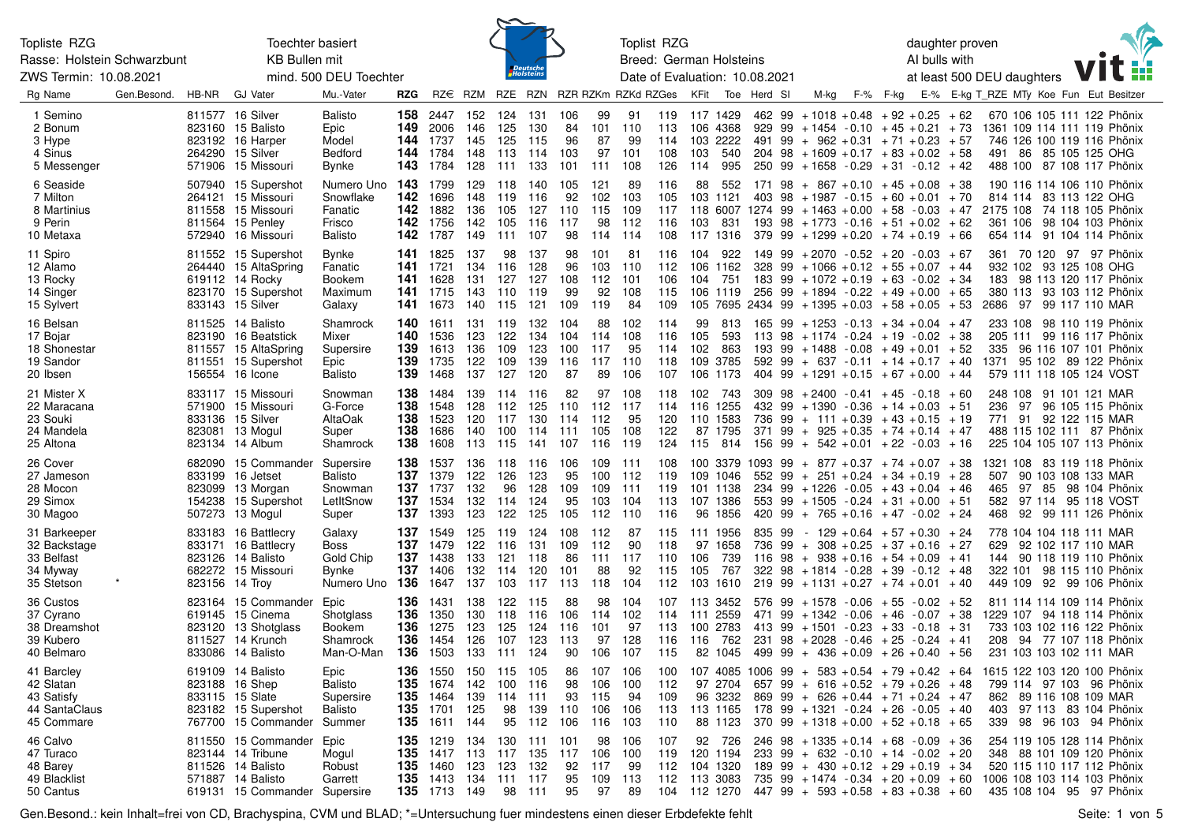| Topliste RZG<br>Rasse: Holstein Schwarzbunt                          | Toechter basiert<br><b>KB Bullen mit</b>                                                                            |                                                                                                   |                                                                                                   |                                 |                                                                    | <b>Toplist RZG</b><br>daughter proven<br>AI bulls with<br>Breed: German Holsteins |                                 |                                 |                                 |                                                                  |                        |                                                             |        |                                                                                                                                                                                                                                                                                              |  |                                | <b>N<sub>2</sub></b> |                                                                                                                                                  |
|----------------------------------------------------------------------|---------------------------------------------------------------------------------------------------------------------|---------------------------------------------------------------------------------------------------|---------------------------------------------------------------------------------------------------|---------------------------------|--------------------------------------------------------------------|-----------------------------------------------------------------------------------|---------------------------------|---------------------------------|---------------------------------|------------------------------------------------------------------|------------------------|-------------------------------------------------------------|--------|----------------------------------------------------------------------------------------------------------------------------------------------------------------------------------------------------------------------------------------------------------------------------------------------|--|--------------------------------|----------------------|--------------------------------------------------------------------------------------------------------------------------------------------------|
| ZWS Termin: 10.08.2021                                               |                                                                                                                     | mind. 500 DEU Toechter                                                                            |                                                                                                   |                                 | Deutsche<br>Holstein:                                              |                                                                                   |                                 |                                 |                                 | Date of Evaluation: 10.08.2021                                   |                        |                                                             |        |                                                                                                                                                                                                                                                                                              |  | at least 500 DEU daughters     |                      | F.F                                                                                                                                              |
| Rg Name<br>Gen Besond.                                               | <b>GJ Vater</b><br>HB-NR                                                                                            | Mu.-Vater<br>RZG                                                                                  |                                                                                                   |                                 | RZ€ RZM RZE RZN RZR RZKm RZKd RZGes KFit                           |                                                                                   |                                 |                                 |                                 |                                                                  | Toe Herd SI            | M-kg                                                        |        | F-% F-kg                                                                                                                                                                                                                                                                                     |  |                                |                      | E-% E-kg T_RZE MTy Koe Fun Eut Besitzer                                                                                                          |
| 1 Semino<br>2 Bonum<br>3 Hype<br>4 Sinus<br>5 Messenger              | 811577 16 Silver<br>823160 15 Balisto<br>823192 16 Harper<br>264290 15 Silver<br>571906 15 Missouri                 | <b>Balisto</b><br>158<br>149<br>Epic<br>Model<br>144<br>Bedford<br>144<br>143<br>Bynke            | 2447<br>2006<br>1737<br>1784<br>1784                                                              | 152<br>146<br>145<br>148<br>128 | 124<br>131<br>130<br>125<br>125<br>115<br>113<br>114<br>133<br>111 | 106<br>84<br>96<br>103<br>101                                                     | 99<br>101<br>87<br>97<br>111    | 91<br>110<br>99<br>101<br>108   | 119<br>113<br>114<br>108<br>126 | 117 1429<br>106 4368<br>103 2222<br>103<br>540<br>995<br>114     | 462 99<br>929          |                                                             |        | $+1018 + 0.48 + 92 + 0.25 + 62$<br>$99 + 1454 - 0.10 + 45 + 0.21 + 73$<br>$491$ $99 + 962 + 0.31 + 71 + 0.23 + 57$<br>$204$ 98 + 1609 + 0.17 + 83 + 0.02 + 58<br>$250$ 99 + 1658 - 0.29 + 31 - 0.12 + 42                                                                                     |  |                                |                      | 670 106 105 111 122 Phönix<br>1361 109 114 111 119 Phönix<br>746 126 100 119 116 Phönix<br>491 86 85 105 125 OHG<br>488 100 87 108 117 Phönix    |
| 6 Seaside<br>7 Milton<br>8 Martinius<br>9 Perin<br>10 Metaxa         | 507940 15 Supershot<br>264121 15 Missouri<br>811558 15 Missouri<br>811564 15 Penley<br>572940 16 Missouri           | 143<br>Numero Uno<br>142<br>Snowflake<br>142<br>Fanatic<br>142<br>Frisco<br>142<br><b>Balisto</b> | 1799<br>1696<br>1882<br>1756<br>1787                                                              | 129<br>148<br>136<br>142<br>149 | 118<br>140<br>119<br>116<br>105<br>127<br>105<br>116<br>107<br>111 | 105<br>92<br>110<br>117<br>98                                                     | 121<br>102<br>115<br>98<br>114  | 89<br>103<br>109<br>112<br>-114 | 116<br>105<br>117<br>116<br>108 | 88<br>552<br>103 1121<br>103<br>831<br>117 1316                  | 171<br>403<br>98       |                                                             |        | $98 + 867 + 0.10 + 45 + 0.08 + 38$<br>$+1987 -0.15 +60 +0.01 +70$<br>$118\,6007\,1274\,99$ + $1463$ + $0.00$ + $58$ - $0.03$ + $47$<br>$193$ $98$ $+ 1773$ $- 0.16$ $+ 51$ $+ 0.02$ $+ 62$<br>$379$ 99 + 1299 + 0.20 + 74 + 0.19 + 66                                                        |  | 814 114<br>361 106             |                      | 190 116 114 106 110 Phönix<br>83 113 122 OHG<br>2175 108 74 118 105 Phönix<br>98 104 103 Phönix<br>654 114 91 104 114 Phönix                     |
| 11 Spiro<br>12 Alamo<br>13 Rocky<br>14 Singer<br>15 Sylvert          | 811552 15 Supershot<br>264440 15 AltaSpring<br>619112 14 Rocky<br>823170 15 Supershot<br>833143 15 Silver           | Bynke<br>141<br>Fanatic<br>141<br>Bookem<br>141<br>Maximum<br>141<br>141<br>Galaxy                | 1825<br>1721<br>1628<br>1715<br>1673                                                              | 137<br>134<br>131<br>143<br>140 | 98<br>137<br>116<br>128<br>127<br>127<br>110<br>119<br>115<br>121  | 98<br>96<br>108<br>99<br>109                                                      | 101<br>103<br>112<br>92<br>119  | 81<br>110<br>101<br>108<br>84   | 116<br>112<br>106<br>115<br>109 | 104<br>922<br>106 1162<br>104 751<br>106 1119                    |                        |                                                             |        | $149$ 99 + 2070 - 0.52 + 20 - 0.03 + 67<br>$328$ 99 + 1066 + 0.12 + 55 + 0.07 + 44<br>$183$ 99 + $1072$ + 0.19 + 63 - 0.02 + 34<br>$256$ 99 + 1894 - 0.22 + 49 + 0.00 + 65<br>$105$ 7695 2434 99 + 1395 + 0.03 + 58 + 0.05 + 53                                                              |  | 2686<br>97                     |                      | 361 70 120 97 97 Phönix<br>932 102 93 125 108 OHG<br>183 98 113 120 117 Phönix<br>380 113 93 103 112 Phönix<br>99 117 110 MAR                    |
| 16 Belsan<br>17 Bojar<br>18 Shonestar<br>19 Sandor<br>20 Ibsen       | 811525 14 Balisto<br>823190 16 Beatstick<br>811557 15 AltaSpring<br>811551 15 Supershot<br>156554 16 Icone          | 140<br>Shamrock<br>140<br>Mixer<br>139<br>Supersire<br>139<br>Epic<br>139<br>Balisto              | 1611<br>1536<br>1613<br>1735<br>1468                                                              | 131<br>123<br>136<br>122<br>137 | 119<br>132<br>122<br>134<br>109<br>123<br>109<br>139<br>120<br>127 | 104<br>104<br>100<br>116<br>87                                                    | 88<br>114<br>117<br>117<br>89   | 102<br>108<br>95<br>110<br>106  | 114<br>116<br>114<br>118<br>107 | 99<br>813<br>105<br>593<br>102<br>863<br>109 3785<br>106<br>1173 | 193<br>404             | $99 + 1488 - 0.08$                                          |        | $165$ 99 + 1253 - 0.13 + 34 + 0.04 + 47<br>$113$ 98 + 1174 - 0.24 + 19 - 0.02 + 38<br>$+49 + 0.01 + 52$<br>$592$ 99 + 637 - 0.11 + 14 + 0.17 + 40<br>$99 + 1291 + 0.15 + 67 + 0.00 + 44$                                                                                                     |  | 205 111<br>335                 |                      | 233 108 98 110 119 Phönix<br>99 116 117 Phönix<br>96 116 107 101 Phönix<br>1371 95 102 89 122 Phönix<br>579 111 118 105 124 VOST                 |
| 21 Mister X<br>22 Maracana<br>23 Souki<br>24 Mandela<br>25 Altona    | 833117 15 Missouri<br>571900 15 Missouri<br>833136 15 Silver<br>823081 13 Mogul<br>823134 14 Album                  | 138<br>Snowman<br>138<br>G-Force<br>138<br>AltaOak<br>138<br>Super<br>138<br>Shamrock             | 1484<br>1548<br>1523<br>1686<br>1608                                                              | 139<br>128<br>120<br>140<br>113 | 114<br>116<br>112<br>125<br>117<br>130<br>100<br>114<br>115<br>141 | 82<br>110<br>114<br>-111<br>107                                                   | 97<br>112<br>112<br>105<br>116  | 108<br>117<br>95<br>108<br>119  | 118<br>114<br>120<br>122<br>124 | 102 743<br>116 1255<br>110 1583<br>87 1795<br>115<br>814         | 309<br>736<br>371      | $98 + 2400 - 0.41 + 45$                                     |        | $-0.18 + 60$<br>$432$ 99 + 1390 - 0.36 + 14 + 0.03 + 51<br>$99 + 111 + 0.39 + 43 + 0.15 + 19$<br>$99 + 925 + 0.35 + 74 + 0.14 + 47$<br>$156$ 99 + 542 + 0.01 + 22 - 0.03 + 16                                                                                                                |  | 236<br>97<br>771 91            |                      | 248 108 91 101 121 MAR<br>96 105 115 Phönix<br>92 122 115 MAR<br>488 115 102 111 87 Phönix<br>225 104 105 107 113 Phönix                         |
| 26 Cover<br>27 Jameson<br>28 Mocon<br>29 Simox<br>30 Magoo           | 682090 15 Commander<br>833199 16 Jetset<br>823099 13 Morgan<br>154238 15 Supershot<br>507273 13 Mogul               | 138<br>Supersire<br>137<br>Balisto<br>137<br>Snowman<br>137<br>LetItSnow<br>137<br>Super          | 1537<br>1379<br>1737<br>1534<br>1393                                                              | 136<br>122<br>132<br>132<br>123 | 118<br>116<br>126<br>123<br>128<br>96<br>114<br>124<br>122<br>125  | 106<br>95<br>109<br>95<br>105                                                     | 109<br>100<br>109<br>103<br>112 | 111<br>112<br>111<br>104<br>110 | 108<br>119<br>119<br>113<br>116 | 109 1046<br>101 1138<br>107 1386<br>96 1856                      | 552                    |                                                             |        | $100$ 3379 1093 99 + 877 + 0.37 + 74 + 0.07 + 38<br>$99 + 251 + 0.24 + 34 + 0.19 + 28$<br>$234$ 99 + 1226 - 0.05 + 43 + 0.04 + 46<br>$553$ 99 + 1505 - 0.24 + 31 + 0.00 + 51<br>$420$ 99 + 765 + 0.16 + 47 - 0.02 + 24                                                                       |  | 507<br>465<br>97<br>582<br>468 |                      | 1321 108 83 119 118 Phönix<br>90 103 108 133 MAR<br>85 98 104 Phönix<br>97 114 95 118 VOST<br>92 99 111 126 Phönix                               |
| 31 Barkeeper<br>32 Backstage<br>33 Belfast<br>34 Myway<br>35 Stetson | 833183 16 Battlecry<br>833171 16 Battlecry<br>823126 14 Balisto<br>682272 15 Missouri<br>823156 14 Troy             | 137<br>Galaxy<br>137<br>Boss<br>137<br>Gold Chip<br>137<br>Bynke<br>Numero Uno 136                | 1549<br>1479<br>1438<br>1406<br>1647                                                              | 125<br>122<br>133<br>132<br>137 | 119<br>124<br>116<br>131<br>121<br>118<br>120<br>114<br>103<br>117 | 108<br>109<br>86<br>101<br>113                                                    | 112<br>112<br>111<br>88<br>118  | 87<br>90<br>117<br>92<br>104    | 115<br>118<br>110<br>115<br>112 | 111 1956<br>97 1658<br>739<br>106<br>105<br>767<br>103 1610      | 835<br>99<br>736<br>99 |                                                             |        | $-129 + 0.64 + 57 + 0.30 + 24$<br>$+$ 308 + 0.25 + 37 + 0.16 + 27<br>$116$ 98 + 938 + 0.16 + 54 + 0.09 + 41<br>$322$ 98 + 1814 - 0.28 + 39 - 0.12 + 48<br>$219$ 99 + 1131 + 0.27 + 74 + 0.01 + 40                                                                                            |  | 629<br>144<br>322 101          |                      | 778 104 104 118 111 MAR<br>92 102 117 110 MAR<br>90 118 119 110 Phönix<br>98 115 110 Phönix<br>449 109 92 99 106 Phönix                          |
| 36 Custos<br>37 Cyrano<br>38 Dreamshot<br>39 Kubero<br>40 Belmaro    | 823164 15 Commander<br>619145 15 Cinema<br>823120 13 Shotalass<br>811527 14 Krunch<br>833086 14 Balisto             | 136<br>Epic<br>136<br>Shotalass<br>136<br>Bookem<br>136<br>Shamrock<br>136<br>Man-O-Man           | 1431<br>1350<br>1275<br>1454<br>1503                                                              | 138<br>130<br>123<br>126<br>133 | 122<br>115<br>118<br>116<br>125<br>124<br>123<br>107<br>124<br>111 | 88<br>106<br>116<br>113<br>90                                                     | 98<br>114<br>101<br>97<br>106   | 104<br>102<br>97<br>128<br>107  | 107<br>114<br>113<br>116<br>115 | 113 3452<br>111 2559<br>100 2783<br>116 762                      | 576<br>471<br>231      | $99 + 1578$<br>$99 + 1342 - 0.06$<br>$413$ 99 + 1501 - 0.23 | - 0.06 | $+55 - 0.02 + 52$<br>$+46 - 0.07 + 38$<br>$+33 - 0.18 + 31$<br>$98 + 2028 - 0.46 + 25 - 0.24 + 41$<br>82 1045 499 99 + 436 + 0.09 + 26 + 0.40 + 56                                                                                                                                           |  | 208                            |                      | 811 114 114 109 114 Phönix<br>1229 107 94 118 114 Phönix<br>733 103 102 116 122 Phönix<br>94 77 107 118 Phönix<br>231 103 103 102 111 MAR        |
| 41 Barcley<br>42 Slatan<br>43 Satisfy<br>44 SantaClaus<br>45 Commare | 619109 14 Balisto<br>823188 16 Shep<br>833115 15 Slate<br>823182 15 Supershot<br>767700 15 Commander                | Epic<br>Balisto<br>Supersire<br>Balisto<br>Summer                                                 | 136 1550 150<br>135 1674 142<br><b>135</b> 1464 139<br><b>135</b> 1701 125<br><b>135</b> 1611 144 |                                 | 115<br>105<br>100<br>116<br>114<br>111<br>139<br>98<br>95<br>112   | 86<br>98<br>93<br>110<br>106                                                      | 107<br>106<br>115<br>106<br>116 | 106<br>100<br>94<br>106<br>103  | 100<br>112<br>109<br>113<br>110 | 96 3232<br>88 1123                                               |                        |                                                             |        | 107 4085 1006 99 + 583 + 0.54 + 79 + 0.42 + 64 1615 122 103 120 100 Phönix<br>$97\;\;2704\;\;657\;\;99\;\;+\;\;616\;\;+0.52\;\;+79\;\;+0.26\;\;+48$<br>$869$ 99 + 626 + 0.44 + 71 + 0.24 + 47<br>$113$ 1165 178 99 + 1321 - 0.24 + 26 - 0.05 + 40<br>$370$ 99 + 1318 + 0.00 + 52 + 0.18 + 65 |  |                                |                      | 799 114 97 103 96 Phönix<br>862 89 116 108 109 MAR<br>403 97 113 83 104 Phönix<br>339 98 96 103 94 Phönix                                        |
| 46 Calvo<br>47 Turaco<br>48 Barey<br>49 Blacklist<br>50 Cantus       | 811550 15 Commander<br>823144 14 Tribune<br>811526 14 Balisto<br>571887 14 Balisto<br>619131 15 Commander Supersire | Epic<br>Mogul<br>135<br>Robust<br>Garrett                                                         | <b>135</b> 1219 134<br>135 1417 113<br>1460 123<br><b>135</b> 1413 134<br><b>135</b> 1713 149     |                                 | 130<br>135<br>117<br>132<br>123<br>111<br>117<br>98<br>111         | 111 101<br>117<br>92<br>95<br>95                                                  | 98<br>106<br>117<br>109<br>97   | 106<br>100<br>99<br>113<br>89   | 107<br>119<br>112<br>112        | 92 726<br>120 1194<br>104 1320<br>113 3083                       |                        |                                                             |        | $246$ 98 + 1335 + 0.14 + 68 - 0.09 + 36<br>$233$ 99 + 632 - 0.10 + 14 - 0.02 + 20<br>$189$ 99 + 430 + 0.12 + 29 + 0.19 + 34<br>$735$ 99 + 1474 - 0.34 + 20 + 0.09 + 60<br>$104$ 112 1270 447 99 + 593 + 0.58 + 83 + 0.38 + 60                                                                |  |                                |                      | 254 119 105 128 114 Phönix<br>348 88 101 109 120 Phönix<br>520 115 110 117 112 Phönix<br>1006 108 103 114 103 Phönix<br>435 108 104 95 97 Phönix |

 $\sim$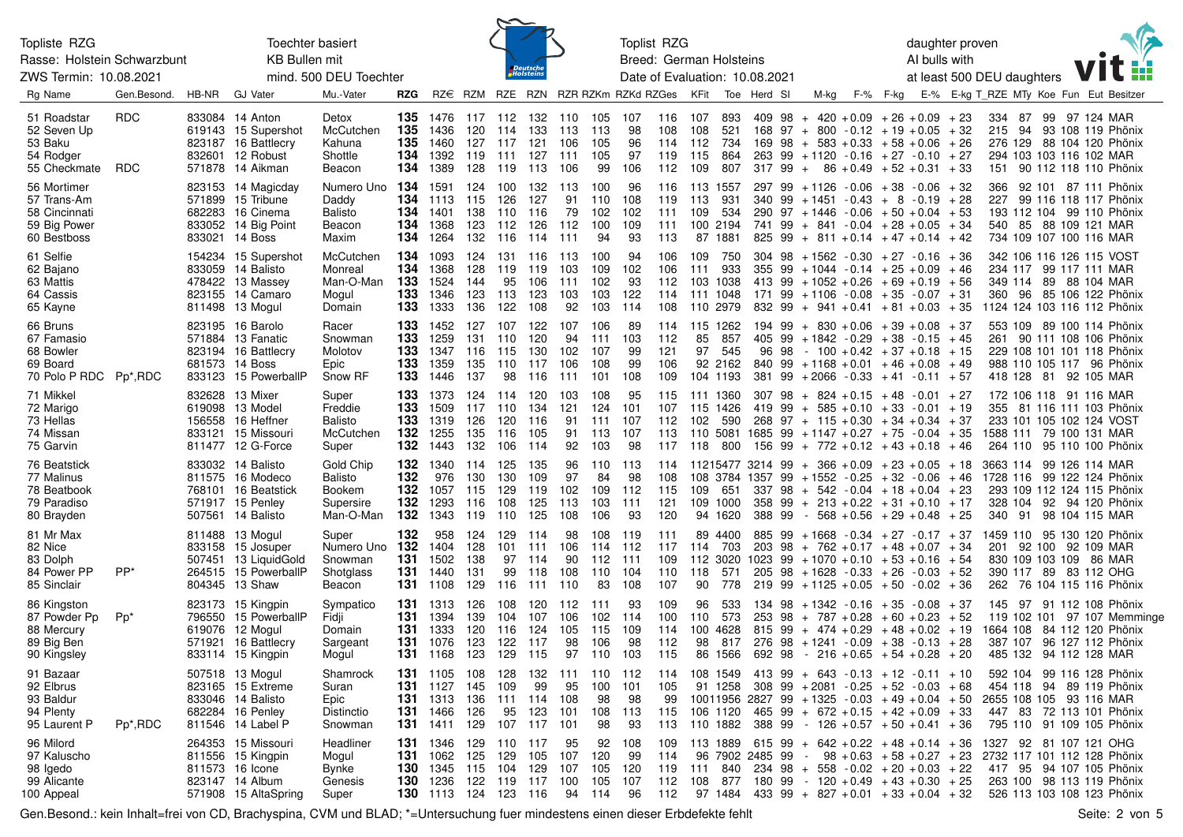| Toechter basiert<br>Topliste RZG<br><b>KB Bullen mit</b><br>Rasse: Holstein Schwarzbunt<br>ZWS Termin: 10.08.2021<br>mind. 500 DEU Toechter |                          |       |                                                                                                          |                                                          |                                 |                                                                                                                                     |                                 |                                           | <i>Deutsche</i><br>Holsteins    |                                 |                                        | Toplist RZG<br>Breed: German Holsteins<br>Date of Evaluation: 10.08.2021 |                                 |                                                |                                 |                                                |          |                              |                                                                                                                                                                                                                                                                  |      | AI bulls with | daughter proven<br>at least 500 DEU daughters |                                 |                      |    |                                                                                                                                           |                             |
|---------------------------------------------------------------------------------------------------------------------------------------------|--------------------------|-------|----------------------------------------------------------------------------------------------------------|----------------------------------------------------------|---------------------------------|-------------------------------------------------------------------------------------------------------------------------------------|---------------------------------|-------------------------------------------|---------------------------------|---------------------------------|----------------------------------------|--------------------------------------------------------------------------|---------------------------------|------------------------------------------------|---------------------------------|------------------------------------------------|----------|------------------------------|------------------------------------------------------------------------------------------------------------------------------------------------------------------------------------------------------------------------------------------------------------------|------|---------------|-----------------------------------------------|---------------------------------|----------------------|----|-------------------------------------------------------------------------------------------------------------------------------------------|-----------------------------|
| Rg Name                                                                                                                                     | Gen.Besond.              | HB-NR | <b>GJ Vater</b>                                                                                          | Mu.-Vater                                                | RZG                             |                                                                                                                                     |                                 |                                           |                                 |                                 |                                        | RZ€ RZM RZE RZN RZR RZKm RZKd RZGes KFit                                 |                                 |                                                |                                 | Toe Herd SI                                    |          | M-kg                         | F-%                                                                                                                                                                                                                                                              | F-kg |               | E-% E-kg T RZE MTy Koe Fun Eut Besitzer       |                                 |                      |    |                                                                                                                                           |                             |
| 51 Roadstar<br>52 Seven Up<br>53 Baku<br>54 Rodger<br>55 Checkmate                                                                          | <b>RDC</b><br><b>RDC</b> |       | 833084 14 Anton<br>619143 15 Supershot<br>823187 16 Battlecry<br>832601 12 Robust<br>571878 14 Aikman    | Detox<br>McCutchen<br>Kahuna<br>Shottle<br>Beacon        | 135<br>135<br>135<br>134<br>134 | 1476<br>1436<br>1460<br>1392<br>1389                                                                                                | 117<br>120<br>127<br>119<br>128 | 112<br>114<br>117<br>111<br>119           | 132<br>133<br>121<br>127<br>113 | 110<br>113<br>106<br>111<br>106 | 105<br>113<br>105<br>105<br>99         | 107<br>98<br>96<br>97<br>106                                             | 116<br>108<br>114<br>119<br>112 | 107<br>108<br>112<br>115<br>109                | 893<br>521<br>734<br>864<br>807 | 409 98<br>169<br>317 99                        | 98       | $+$                          | $+ 420 + 0.09 + 26 + 0.09 + 23$<br>$168$ 97 + 800 - 0.12 + 19 + 0.05<br>$+ 583 + 0.33 + 58 + 0.06$<br>263 99 + 1120 - 0.16 + 27 - 0.10 + 27<br>$86 + 0.49 + 52 + 0.31 + 33$                                                                                      |      |               | + 32<br>+ 26                                  | 334<br>215 94<br>276 129<br>151 | 87                   | 99 | 97 124 MAR<br>93 108 119 Phönix<br>88 104 120 Phönix<br>294 103 103 116 102 MAR<br>90 112 118 110 Phönix                                  |                             |
| 56 Mortimer<br>57 Trans-Am<br>58 Cincinnati<br>59 Big Power<br>60 Bestboss                                                                  |                          |       | 823153 14 Magicday<br>571899 15 Tribune<br>682283 16 Cinema<br>833052 14 Big Point<br>833021 14 Boss     | Numero Uno<br>Daddy<br><b>Balisto</b><br>Beacon<br>Maxim | 134<br>134<br>134<br>134<br>134 | 1591<br>1113<br>1401<br>1368<br>1264                                                                                                | 124<br>115<br>138<br>123<br>132 | 100<br>126<br>110<br>112<br>116           | 132<br>127<br>116<br>126<br>114 | 113<br>91<br>79<br>112<br>111   | 100<br>110<br>102<br>100<br>94         | 96<br>108<br>102<br>109<br>93                                            | 116<br>119<br>111<br>111<br>113 | 113 1557<br>113<br>109<br>100 2194             | 931<br>534<br>87 1881           | 297<br>340 99<br>741 99<br>825 99              | 99       | + 1126<br>$290 \t 97 + 1446$ | $-0.06 + 38$<br>$+1451 - 0.43 + 8 - 0.19 + 28$<br>$-0.06 + 50 + 0.04 + 53$<br>$+ 841 - 0.04 + 28 + 0.05 + 34$<br>$+$ 811 + 0.14 + 47 + 0.14 + 42                                                                                                                 |      | - 0.06        | + 32                                          | 366<br>227<br>540               |                      |    | 92 101 87 111 Phönix<br>99 116 118 117 Phönix<br>193 112 104 99 110 Phönix<br>85 88 109 121 MAR<br>734 109 107 100 116 MAR                |                             |
| 61 Selfie<br>62 Bajano<br>63 Mattis<br>64 Cassis<br>65 Kayne                                                                                |                          |       | 154234 15 Supershot<br>833059 14 Balisto<br>478422 13 Massey<br>823155 14 Camaro<br>811498 13 Mogul      | McCutchen<br>Monreal<br>Man-O-Man<br>Mogul<br>Domain     | 134<br>134<br>133<br>133<br>133 | 1093<br>1368<br>1524<br>1346<br>1333                                                                                                | 124<br>128<br>144<br>123<br>136 | 131<br>119<br>95<br>113<br>122            | 116<br>119<br>106<br>123<br>108 | 113<br>103<br>111<br>103<br>92  | 100<br>109<br>102<br>103<br>103        | 94<br>102<br>93<br>122<br>114                                            | 106<br>106<br>112<br>114<br>108 | 109<br>111<br>103 1038<br>111 1048<br>110 2979 | 750<br>933                      | 355<br>171 99                                  | 99       |                              | $304$ $98$ $+ 1562$ $- 0.30$ $+ 27$ $- 0.16$<br>$+1044 - 0.14 + 25 + 0.09$<br>413 99 + 1052 + 0.26 + 69 + 0.19 + 56<br>$+1106 - 0.08 + 35 - 0.07 + 31$<br>$832$ 99 + 941 + 0.41 + 81 + 0.03 + 35                                                                 |      |               | + 36<br>+ 46                                  | 234 117<br>360                  | 349 114<br>96        |    | 342 106 116 126 115 VOST<br>99 117 111 MAR<br>89 88 104 MAR<br>85 106 122 Phönix<br>1124 124 103 116 112 Phönix                           |                             |
| 66 Bruns<br>67 Famasio<br>68 Bowler<br>69 Board<br>70 Polo P RDC                                                                            | Pp <sup>*</sup> ,RDC     |       | 823195 16 Barolo<br>571884 13 Fanatic<br>823194 16 Battlecry<br>681573 14 Boss<br>833123 15 PowerballP   | Racer<br>Snowman<br>Molotov<br>Epic<br>Snow RF           | 133<br>133<br>133<br>133<br>133 | 1452<br>1259<br>1347<br>1359<br>1446                                                                                                | 127<br>131<br>116<br>135<br>137 | 107<br>110<br>115<br>110<br>98            | 122<br>120<br>130<br>117<br>116 | 107<br>94<br>102<br>106<br>111  | 106<br>111<br>107<br>108<br>101        | 89<br>103<br>99<br>99<br>108                                             | 114<br>112<br>121<br>106<br>109 | 115 1262<br>85<br>97<br>104 1193               | 857<br>545<br>92 2162           | 194 99<br>405 99<br>840 99<br>381 99           | 96 98    |                              | $+$ 830 + 0.06 + 39 + 0.08<br>+ 1842 - 0.29<br>$-100 + 0.42 + 37 + 0.18 + 15$<br>$+1168 + 0.01 + 46 + 0.08$<br>$+2066 - 0.33 + 41 - 0.11 + 57$                                                                                                                   |      | + 38 - 0.15   | + 37<br>+ 45<br>+ 49                          | 261                             |                      |    | 553 109 89 100 114 Phönix<br>90 111 108 106 Phönix<br>229 108 101 101 118 Phönix<br>988 110 105 117 96 Phönix<br>418 128 81 92 105 MAR    |                             |
| 71 Mikkel<br>72 Marigo<br>73 Hellas<br>74 Missan<br>75 Garvin                                                                               |                          |       | 832628 13 Mixer<br>619098 13 Model<br>156558 16 Heffner<br>833121 15 Missouri<br>811477 12 G-Force       | Super<br>Freddie<br>Balisto<br>McCutchen<br>Super        | 133<br>133<br>133<br>132<br>132 | 1373<br>1509<br>1319<br>1255<br>1443                                                                                                | 124<br>117<br>126<br>135<br>132 | 114<br>110<br>120<br>116<br>106           | 120<br>134<br>116<br>105<br>114 | 103<br>121<br>91<br>91<br>92    | 108<br>124<br>111<br>113<br>103        | 95<br>101<br>107<br>107<br>98                                            | 115<br>107<br>112<br>113<br>117 | 111 1360<br>115 1426<br>102<br>110 5081<br>118 | 590<br>800                      | 307 98<br>419 99                               |          |                              | $+$ 824 + 0.15 + 48 - 0.01 + 27<br>$+ 585 + 0.10 + 33 - 0.01 + 19$<br>$268$ 97 + 115 + 0.30 + 34 + 0.34 + 37<br>$1685$ 99 + 1147 + 0.27 + 75 - 0.04 + 35<br>$156$ 99 + 772 + 0.12 + 43 + 0.18                                                                    |      |               | + 46                                          | 355<br>264 110                  |                      |    | 172 106 118 91 116 MAR<br>81 116 111 103 Phönix<br>233 101 105 102 124 VOST<br>1588 111 79 100 131 MAR<br>95 110 100 Phönix               |                             |
| 76 Beatstick<br>77 Malinus<br>78 Beatbook<br>79 Paradiso<br>80 Brayden                                                                      |                          |       | 833032 14 Balisto<br>811575 16 Modeco<br>768101 16 Beatstick<br>571917 15 Penley<br>507561 14 Balisto    | Gold Chip<br>Balisto<br>Bookem<br>Supersire<br>Man-O-Man | 132<br>132<br>132<br>132<br>132 | 1340<br>976<br>1057<br>1293<br>1343                                                                                                 | 114<br>130<br>115<br>116<br>119 | 125<br>130<br>129<br>108<br>110           | 135<br>109<br>119<br>125<br>125 | 96<br>97<br>102<br>113<br>108   | 110<br>84<br>109<br>103<br>106         | 113<br>98<br>112<br>111<br>93                                            | 114<br>108<br>115<br>121<br>120 | 109<br>109 1000                                | 651<br>94 1620                  | 11215477 3214 99<br>337 98<br>358 99<br>388 99 |          | $\sim$                       | $+366 + 0.09 + 23 + 0.05$<br>$108$ 3784 1357 99 + 1552 - 0.25 + 32 - 0.06 + 46<br>$+ 542 - 0.04 + 18 + 0.04 + 23$<br>$+ 213 + 0.22 + 31 + 0.10 + 17$<br>$568 + 0.56 + 29 + 0.48$                                                                                 |      |               | + 18<br>+ 25                                  | 3663 114<br>340                 | 91                   |    | 99 126 114 MAR<br>1728 116 99 122 124 Phönix<br>293 109 112 124 115 Phönix<br>328 104 92 94 120 Phönix<br>98 104 115 MAR                  |                             |
| 81 Mr Max<br>82 Nice<br>83 Dolph<br>84 Power PP<br>85 Sinclair                                                                              | PP*                      |       | 811488 13 Mogul<br>833158 15 Josuper<br>507451 13 LiquidGold<br>264515 15 PowerballP<br>804345 13 Shaw   | Super<br>Numero Uno<br>Snowman<br>Shotglass<br>Beacon    | 132<br>132<br>131<br>131<br>131 | 958<br>1404<br>1502<br>1440<br>1108                                                                                                 | 124<br>128<br>138<br>131<br>129 | 129<br>101<br>97<br>99<br>116             | 114<br>111<br>114<br>118<br>111 | 98<br>106<br>90<br>108<br>110   | 108<br>114<br>112<br>110<br>83         | 119<br>112<br>111<br>104<br>108                                          | 111<br>117<br>109<br>110<br>107 | 114<br>112 3020<br>118<br>90                   | 89 4400<br>703<br>571<br>778    | 885 99<br>203<br>1023 99<br>205                | 98<br>98 |                              | $+1668 - 0.34 + 27 - 0.17 + 37$<br>$+ 762 + 0.17 + 48 + 0.07 + 34$<br>$+1070 + 0.10 + 53 + 0.16 + 54$<br>$+1628 - 0.33 + 26 - 0.03 + 52$<br>$219$ 99 + 1125 + 0.05 + 50 - 0.02                                                                                   |      |               | + 36                                          | 201                             | 92 100<br>390 117 89 |    | 1459 110 95 130 120 Phönix<br>92 109 MAR<br>830 109 103 109 86 MAR<br>83 112 OHG<br>262 76 104 115 116 Phönix                             |                             |
| 86 Kingston<br>87 Powder Pp<br>88 Mercury<br>89 Big Ben<br>90 Kingsley                                                                      | $Pp^*$                   |       | 823173 15 Kingpin<br>796550 15 PowerballP<br>619076 12 Mogul<br>571921 16 Battlecry<br>833114 15 Kingpin | Sympatico<br>Fidji<br>Domain<br>Sargeant<br>Mogul        | 131<br>131<br>131               | 1313<br>1394<br>1333<br><b>131</b> 1076<br>131 1168 123                                                                             | 126<br>139<br>120<br>123        | 108<br>104<br>116<br>122<br>129 115       | 120<br>107<br>124<br>117        | 112<br>106<br>105<br>98         | 111<br>102<br>115<br>106<br>97 110 103 | 93<br>114<br>109<br>98                                                   | 109<br>100<br>114<br>112<br>115 | 96<br>110<br>100 4628<br>98                    | 533<br>573<br>817<br>86 1566    | 134 98<br>253<br>815 99<br>692 98              | 98       | $+$                          | $+1342 - 0.16 + 35 - 0.08 + 37$<br>787 + 0.28<br>$+ 474 + 0.29 + 48 + 0.02 + 19$<br>$276$ 98 + 1241 - 0.09 + 38 - 0.13 + 28<br>$-216 + 0.65 + 54 + 0.28 + 20$                                                                                                    |      | $+60 + 0.23$  | + 52                                          |                                 |                      |    | 145 97 91 112 108 Phönix<br>1664 108 84 112 120 Phönix<br>387 107 96 127 112 Phönix<br>485 132 94 112 128 MAR                             | 119 102 101 97 107 Memminge |
| 91 Bazaar<br>92 Elbrus<br>93 Baldur<br>94 Plenty<br>95 Laurent P                                                                            | Pp <sup>*</sup> ,RDC     |       | 507518 13 Mogul<br>823165 15 Extreme<br>833046 14 Balisto<br>682284 16 Penley<br>811546 14 Label P       | Shamrock<br>Suran<br>Epic<br>Distinctio<br>Snowman       |                                 | <b>131</b> 1105<br><b>131</b> 1127 145<br><b>131</b> 1313 136<br>131 1466 126<br>131 1411 129                                       | 108                             | 128 132 111 110 112<br>109<br>111 114 108 | 99<br>95 123 101<br>107 117 101 | 95                              | 100<br>98<br>108<br>98                 | 101<br>98<br>113<br>93                                                   | 114<br>105<br>99                | 115 106 1120<br>113 110 1882                   | 108 1549<br>91 1258             |                                                |          |                              | $413$ 99 + 643 - 0.13 + 12 - 0.11 + 10<br>$308$ 99 + 2081 - 0.25 + 52 - 0.03 + 68<br>$10011956$ 2827 99 + 1325 - 0.03 + 49 + 0.04 + 50<br>$465$ 99 + 672 + 0.15 + 42 + 0.09 + 33<br>$388$ 99 - 126 + 0.57 + 50 + 0.41 + 36                                       |      |               |                                               |                                 |                      |    | 592 104 99 116 128 Phönix<br>454 118 94 89 119 Phönix<br>2655 108 105 93 116 MAR<br>447 83 72 113 101 Phönix<br>795 110 91 109 105 Phönix |                             |
| 96 Milord<br>97 Kaluscho<br>98 Igedo<br>99 Alicante<br>100 Appeal                                                                           |                          |       | 264353 15 Missouri<br>811556 15 Kingpin<br>811573 16 Icone<br>823147 14 Album<br>571908 15 AltaSpring    | Headliner<br>Mogul<br>Bynke<br>Genesis<br>Super          |                                 | <b>131</b> 1346 129<br><b>131</b> 1062 125<br><b>130</b> 1345 115<br><b>130</b> 1236 122 119 117 100<br><b>130</b> 1113 124 123 116 |                                 | 110 117<br>104                            | 129 105 107<br>129              | 95<br>107                       | 92<br>120<br>105<br>105 107<br>94 114  | 108<br>99<br>120<br>96                                                   | 109<br>114<br>112               | 113 1889<br>119 111                            | 840                             | 96 7902 2485 99                                |          |                              | $615$ 99 + 642 + 0.22 + 48 + 0.14 + 36<br>- 98 + 0.63 + 58 + 0.27 + 23 2732 117 101 112 128 Phönix<br>$234$ $98 + 558 - 0.02 + 20 + 0.03 + 22$<br>$112$ $108$ $877$ $180$ $99$ - $120 + 0.49 + 43 + 0.30 + 25$<br>$97$ 1484 433 99 + 827 + 0.01 + 33 + 0.04 + 32 |      |               |                                               |                                 |                      |    | 1327 92 81 107 121 OHG<br>417 95 94 107 105 Phönix<br>263 100 98 113 119 Phönix<br>526 113 103 108 123 Phönix                             |                             |

Gen.Besond.: kein Inhalt=frei von CD, Brachyspina, CVM und BLAD; \*=Untersuchung fuer mindestens einen dieser Erbdefekte fehlt Seite: 2 von 5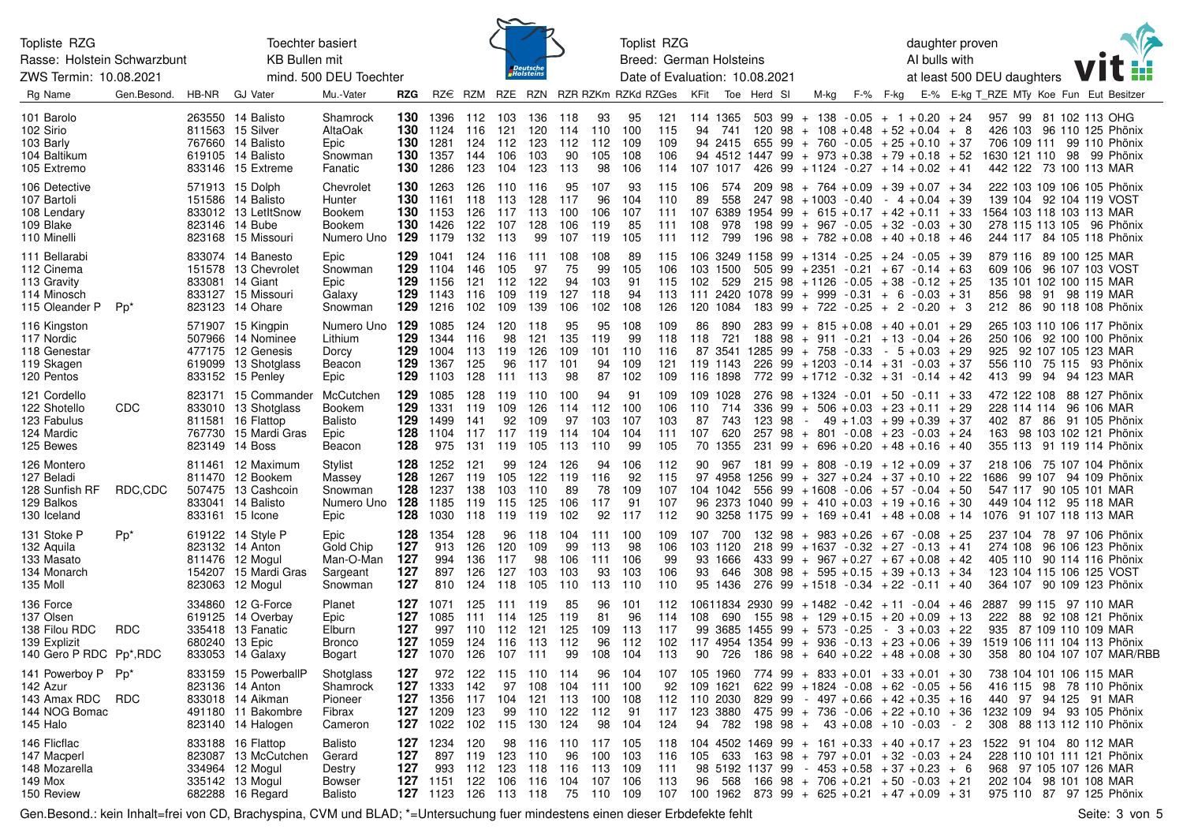| Topliste RZG<br><b>Toechter basiert</b><br>Rasse: Holstein Schwarzbunt<br><b>KB Bullen mit</b><br>ZWS Termin: 10.08.2021<br>mind. 500 DEU Toechter |                 |                |                                                                                                           |                                                         |                                 |                                                                         |                                                 | $\sim$                          | <i>Deutsche</i><br>Holsteins     |                                          |                                    | Toplist RZG<br>Breed: German Holsteins<br>Date of Evaluation: 10.08.2021 |                                 |                                     |                                                    |                             |                |                                                                                                                                                                                                                                                                 | daughter proven<br>AI bulls with<br>at least 500 DEU daughters |          |                                                   |  |                                            |             |                                                                               |  |                                                                                                     |
|----------------------------------------------------------------------------------------------------------------------------------------------------|-----------------|----------------|-----------------------------------------------------------------------------------------------------------|---------------------------------------------------------|---------------------------------|-------------------------------------------------------------------------|-------------------------------------------------|---------------------------------|----------------------------------|------------------------------------------|------------------------------------|--------------------------------------------------------------------------|---------------------------------|-------------------------------------|----------------------------------------------------|-----------------------------|----------------|-----------------------------------------------------------------------------------------------------------------------------------------------------------------------------------------------------------------------------------------------------------------|----------------------------------------------------------------|----------|---------------------------------------------------|--|--------------------------------------------|-------------|-------------------------------------------------------------------------------|--|-----------------------------------------------------------------------------------------------------|
| Rg Name                                                                                                                                            | Gen.Besond.     | HB-NR          | <b>GJ Vater</b>                                                                                           | Mu.-Vater                                               | RZG                             | RZ€                                                                     |                                                 |                                 |                                  |                                          |                                    | RZM RZE RZN RZR RZKm RZKd RZGes                                          |                                 | KFit                                |                                                    | Toe Herd SI                 |                | M-kg                                                                                                                                                                                                                                                            |                                                                | F-% F-kg |                                                   |  |                                            |             |                                                                               |  | E-% E-kg T RZE MTy Koe Fun Eut Besitzer                                                             |
| 101 Barolo<br>102 Sirio<br>103 Barly<br>104 Baltikum<br>105 Extremo                                                                                |                 |                | 263550 14 Balisto<br>811563 15 Silver<br>767660 14 Balisto<br>619105 14 Balisto<br>833146 15 Extreme      | Shamrock<br>AltaOak<br>Epic<br>Snowman<br>Fanatic       | 130<br>130<br>130<br>130<br>130 | 1396<br>1124<br>1281<br>1357<br>1286                                    | 112<br>116<br>124<br>144<br>123                 | 103<br>121<br>112<br>106<br>104 | 136<br>120<br>123<br>103<br>123  | 118<br>114<br>112<br>90<br>113           | 93<br>110<br>112<br>105<br>98      | 95<br>100<br>109<br>108<br>106                                           | 121<br>115<br>109<br>106<br>114 | 114 1365<br>94                      | 741<br>94 2415<br>107 1017                         | 503 99<br>120<br>655<br>426 | 98<br>99       | $+ 138 - 0.05 + 1 + 0.20 + 24$<br>$+ 108 + 0.48 + 52 + 0.04 + 8$<br>$+ 760 - 0.05 + 25 + 0.10 + 37$<br>94 4512 1447 99 + 973 + 0.38 + 79 + 0.18 + 52<br>$99 + 1124 - 0.27$                                                                                      |                                                                |          | $+14 + 0.02 + 41$                                 |  | 957                                        | 706 109 111 | 99 81 102 113 OHG<br>442 122 73 100 113 MAR                                   |  | 426 103 96 110 125 Phönix<br>99 110 Phönix<br>1630 121 110 98 99 Phönix                             |
| 106 Detective<br>107 Bartoli<br>108 Lendary<br>109 Blake<br>110 Minelli                                                                            |                 |                | 571913 15 Dolph<br>151586 14 Balisto<br>833012 13 LetItSnow<br>823146 14 Bube<br>823168 15 Missouri       | Chevrolet<br>Hunter<br>Bookem<br>Bookem<br>Numero Uno   | 130<br>130<br>130<br>130<br>129 | 1263<br>1161<br>1153<br>1426<br>1179                                    | 126<br>118<br>126<br>122<br>132                 | 110<br>113<br>117<br>107<br>113 | 116<br>128<br>113<br>128<br>99   | 95<br>117<br>100<br>106<br>107           | 107<br>96<br>106<br>119<br>119     | 93<br>104<br>107<br>85<br>105                                            | 115<br>110<br>111<br>111<br>111 | 106<br>89<br>107 6389<br>108<br>112 | 574<br>558<br>978<br>799                           | 209<br>1954 99              | 98             | $+ 764 + 0.09 + 39 + 0.07 + 34$<br>247 98 + 1003 - 0.40<br>$+ 615 + 0.17 + 42 + 0.11 + 33$<br>$198$ 99 + 967 - 0.05 + 32 - 0.03 + 30<br>$196$ $98 + 782 + 0.08$                                                                                                 |                                                                |          | $-4 + 0.04 + 39$<br>$+40 + 0.18 + 46$             |  | 1564 103 118 103 113 MAR                   |             | 139 104 92 104 119 VOST                                                       |  | 222 103 109 106 105 Phönix<br>278 115 113 105 96 Phönix<br>244 117 84 105 118 Phönix                |
| 111 Bellarabi<br>112 Cinema<br>113 Gravity<br>114 Minosch<br>115 Oleander P                                                                        | Pp <sup>*</sup> |                | 833074 14 Banesto<br>151578 13 Chevrolet<br>833081 14 Giant<br>833127 15 Missouri<br>823123 14 Ohare      | Epic<br>Snowman<br>Epic<br>Galaxy<br>Snowman            | 129<br>129<br>129<br>129<br>129 | 1041<br>1104<br>1156<br>1143<br>1216                                    | 124<br>146<br>121<br>116<br>102                 | 116<br>105<br>112<br>109<br>109 | 111<br>97<br>122<br>119<br>139   | 108<br>75<br>94<br>127<br>106            | 108<br>99<br>103<br>118<br>102     | 89<br>105<br>91<br>94<br>108                                             | 115<br>106<br>115<br>113<br>126 | 103<br>102<br>111                   | 106 3249 1158<br>1500<br>529<br>2420<br>120 1084   | 505                         |                | $99 + 1314 - 0.25$<br>$99 + 2351 - 0.21$<br>$215$ 98 + 1126 - 0.05 + 38 - 0.12 + 25<br>$1078$ 99 + 999 - 0.31 + 6 - 0.03 + 31<br>$183$ 99 + 722 - 0.25 + 2 - 0.20 + 3                                                                                           |                                                                |          | $+24 - 0.05 + 39$<br>$+67 - 0.14 + 63$            |  | 879 116<br>609 106<br>856                  | 98          | 89 100 125 MAR<br>96 107 103 VOST<br>135 101 102 100 115 MAR<br>91 98 119 MAR |  | 212 86 90 118 108 Phönix                                                                            |
| 116 Kingston<br>117 Nordic<br>118 Genestar<br>119 Skagen<br>120 Pentos                                                                             |                 |                | 571907 15 Kingpin<br>507966 14 Nominee<br>477175 12 Genesis<br>619099 13 Shotglass<br>833152 15 Penley    | Numero Uno<br>Lithium<br>Dorcy<br>Beacon<br>Epic        | 129<br>129<br>129<br>129<br>129 | 1085<br>1344<br>1004<br>1367<br>1103                                    | 124<br>116<br>113<br>125<br>128                 | 120<br>98<br>119<br>96<br>111   | 118<br>121<br>126<br>117<br>113  | 95<br>135<br>109<br>101<br>98            | 95<br>119<br>101<br>94<br>87       | 108<br>99<br>110<br>109<br>102                                           | 109<br>118<br>116<br>121<br>109 | 86<br>118<br>119 1143<br>116 1898   | 890<br>721<br>87 3541                              | 188 98<br>226               |                | $283$ 99 + 815 + 0.08 + 40 + 0.01 + 29<br>$+911 - 0.21$<br>1285 99 + 758 -0.33<br>$99 + 1203 - 0.14 + 31 - 0.03 + 37$<br>772 99 + 1712 - 0.32 + 31 - 0.14 + 42                                                                                                  |                                                                |          | $+13 - 0.04 + 26$<br>$-5 + 0.03 + 29$             |  | 413 99                                     |             | 925 92 107 105 123 MAR<br>94 94 123 MAR                                       |  | 265 103 110 106 117 Phönix<br>250 106 92 100 100 Phönix<br>556 110 75 115 93 Phönix                 |
| 121 Cordello<br>122 Shotello<br>123 Fabulus<br>124 Mardic<br>125 Bewes                                                                             | CDC             |                | 823171 15 Commander<br>833010 13 Shotglass<br>811581 16 Flattop<br>767730 15 Mardi Gras<br>823149 14 Boss | McCutchen<br><b>Bookem</b><br>Balisto<br>Epic<br>Beacon | 129<br>129<br>129<br>128<br>128 | 1085<br>1331<br>1499<br>1104<br>975                                     | 128<br>119<br>141<br>117<br>131                 | 119<br>109<br>92<br>117<br>119  | 110<br>126<br>109<br>119<br>105  | 100<br>114<br>97<br>114<br>113           | 94<br>112<br>103<br>104<br>110     | 91<br>100<br>107<br>104<br>99                                            | 109<br>106<br>103<br>111<br>105 | 110<br>87<br>107                    | 109 1028<br>714<br>743<br>620<br>70 1355           | 336<br>123<br>257<br>231    | 99<br>98<br>99 | $276$ 98 + 1324 - 0.01 + 50 - 0.11 + 33<br>$+ 506 + 0.03 + 23 + 0.11 + 29$<br>$\sim$ $-$<br>$98 + 801 - 0.08 + 23 - 0.03 + 24$<br>$+ 696 + 0.20$                                                                                                                |                                                                |          | $49 + 1.03 + 99 + 0.39 + 37$<br>$+48 + 0.16 + 40$ |  | 402<br>163                                 | 87          | 228 114 114 96 106 MAR                                                        |  | 472 122 108 88 127 Phönix<br>86 91 105 Phönix<br>98 103 102 121 Phönix<br>355 113 91 119 114 Phönix |
| 126 Montero<br>127 Beladi<br>128 Sunfish RF<br>129 Balkos<br>130 Iceland                                                                           | RDC,CDC         |                | 811461 12 Maximum<br>811470 12 Bookem<br>507475 13 Cashcoin<br>833041 14 Balisto<br>833161 15 Icone       | Stylist<br>Massey<br>Snowman<br>Numero Uno<br>Epic      | 128<br>128<br>128<br>128<br>128 | 1252<br>1267<br>1237<br>1185<br>1030                                    | 121<br>119<br>138<br>119<br>118                 | 99<br>105<br>103<br>115<br>119  | 124<br>122<br>110<br>125<br>119  | 126<br>119<br>89<br>106<br>102           | 94<br>116<br>78<br>117<br>92       | 106<br>92<br>109<br>91<br>117                                            | 112<br>115<br>107<br>107<br>112 | 90                                  | 967<br>97 4958 1256<br>104 1042<br>90 3258 1175 99 | 181 99                      | 99             | $+$ 808 - 0.19 + 12 + 0.09 + 37<br>$+ 327 + 0.24 + 37 + 0.10 + 22$<br>$556$ 99 + 1608 - 0.06 + 57 - 0.04 + 50<br>96 2373 1040 99 + 410 + 0.03 + 19 + 0.16 + 30<br>$+ 169 + 0.41 + 48 + 0.08 + 14$                                                               |                                                                |          |                                                   |  | 218 106<br>1686<br>1076 91 107 118 113 MAR |             | 547 117 90 105 101 MAR<br>449 104 112 95 118 MAR                              |  | 75 107 104 Phönix<br>99 107 94 109 Phönix                                                           |
| 131 Stoke P<br>132 Aquila<br>133 Masato<br>134 Monarch<br>135 Moll                                                                                 | Pp <sup>*</sup> |                | 619122 14 Style P<br>823132 14 Anton<br>811476 12 Mogul<br>154207 15 Mardi Gras<br>823063 12 Mogul        | Epic<br>Gold Chip<br>Man-O-Man<br>Sargeant<br>Snowman   | 128<br>127<br>127<br>127<br>127 | 1354<br>913<br>994<br>897<br>810                                        | 128<br>126<br>136<br>126<br>124                 | 96<br>120<br>117<br>127<br>118  | 118<br>109<br>98<br>103<br>105   | 104<br>99<br>106<br>103<br>110           | 111 100<br>113<br>111<br>93<br>113 | 98<br>106<br>103<br>110                                                  | 109<br>106<br>99<br>106<br>110  | 93                                  | 107 700<br>103 1120<br>93 1666<br>646<br>95 1436   | 132 98<br>218               |                | $+ 983 + 0.26$<br>$99 + 1637 - 0.32 + 27 - 0.13 + 41$<br>433 99 + 967 + 0.27 + 67 + 0.08 + 42<br>$308$ 98 + 595 + 0.15 + 39 + 0.13 + 34<br>276 99 + 1518 - 0.34 + 22 - 0.11 + 40                                                                                |                                                                |          | $+67 - 0.08 + 25$                                 |  | 237 104<br>274 108                         |             | 123 104 115 106 125 VOST                                                      |  | 78 97 106 Phönix<br>96 106 123 Phönix<br>405 110 90 114 116 Phönix<br>364 107 90 109 123 Phönix     |
| 136 Force<br>137 Olsen<br>138 Filou RDC<br>139 Explizit<br>140 Gero P RDC Pp*, RDC                                                                 | <b>RDC</b>      | 680240 13 Epic | 334860 12 G-Force<br>619125 14 Overbay<br>335418 13 Fanatic<br>833053 14 Galaxy                           | Planet<br>Epic<br>Elburn<br><b>Bronco</b><br>Bogart     | 127<br>127<br>127<br>127        | 1071<br>1085<br>997<br>1059<br>127 1070 126 107 111                     | 125<br>111<br>110 112<br>124 116                | -111<br>114                     | 119<br>125<br>121<br>113         | 85<br>119<br>125<br>112<br>99            | 96<br>81<br>109<br>96<br>108 104   | 101<br>96<br>113<br>112                                                  | 112<br>114<br>117<br>102<br>113 | 108                                 | 690                                                | 155                         | 98             | $10611834$ 2930 99 + 1482 - 0.42 + 11 - 0.04 + 46<br>$+ 129 + 0.15 + 20 + 0.09 + 13$<br>99 3685 1455 99 + 573 -0.25<br>$117$ 4954 1354 99 + 936 -0.13 +23 +0.06 +39<br>90 726 186 98 + 640 + 0.22 + 48 + 0.08 + 30                                              |                                                                |          | $-3 + 0.03 + 22$                                  |  | 2887<br>222<br>935                         | 88          | 99 115 97 110 MAR<br>87 109 110 109 MAR                                       |  | 92 108 121 Phönix<br>1519 106 111 104 113 Phönix<br>358 80 104 107 107 MAR/RBB                      |
| 141 Powerboy P Pp*<br>142 Azur<br>143 Amax RDC<br>144 NOG Bomac<br>145 Halo                                                                        | <b>RDC</b>      |                | 833159 15 PowerballP<br>823136 14 Anton<br>833018 14 Aikman<br>491180 11 Bakombre<br>823140 14 Halogen    | Shotglass<br>Shamrock<br>Pioneer<br>Fibrax<br>Cameron   | 127                             | <b>127</b> 1333<br><b>127</b> 1356<br><b>127</b> 1209<br>127 1022       | 972 122 115<br>142<br>117 104<br>123<br>102 115 | 97<br>99                        | 110 114<br>108<br>110 122<br>130 | 104<br>121 113 100 108<br>124            | 111 100<br>112                     | 96 104<br>- 91<br>98 104                                                 | 107<br>92<br>112<br>117<br>124  | 109 1621<br>110 2030<br>123 3880    | 105 1960<br>94 782                                 | 198 98 +                    |                | $774$ 99 + 833 + 0.01 + 33 + 0.01 + 30<br>$622$ 99 + 1824 - 0.08 + 62 - 0.05 + 56<br>$829$ 99 - 497 + 0.66 + 42 + 0.35 + 16<br>$475$ 99 + 736 - 0.06 + 22 + 0.10 + 36                                                                                           |                                                                |          | $43 + 0.08 + 10 - 0.03 - 2$                       |  |                                            |             | 738 104 101 106 115 MAR<br>440 97 94 125 91 MAR                               |  | 416 115 98 78 110 Phönix<br>1232 109 94 93 105 Phönix<br>308 88 113 112 110 Phönix                  |
| 146 Flicflac<br>147 Macperl<br>148 Mozarella<br>149 Mox<br>150 Review                                                                              |                 |                | 833188 16 Flattop<br>823087 13 McCutchen<br>334964 12 Mogul<br>335142 13 Mogul<br>682288 16 Regard        | Balisto<br>Gerard<br>Destry<br>Bowser<br>Balisto        | 127<br>127<br>127               | 1234<br>993<br>127 1151 122 106 116 104 107 106<br>127 1123 126 113 118 | 120<br>897 119<br>112                           | 98<br>123<br>123                | 110                              | 116 110 117 105<br>96<br>118 116 113 109 | 100 103<br>75 110 109              |                                                                          | 118<br>116<br>111<br>113<br>107 |                                     |                                                    |                             |                | $104$ 4502 1469 99 + 161 + 0.33 + 40 + 0.17 + 23<br>$105$ 633 163 98 + 797 + 0.01 + 32 - 0.03 + 24<br>$98\ 5192\ 1137\ 99$ - $453 + 0.58$ + $37 + 0.23$ + 6<br>$96$ 568 166 98 + 706 + 0.21 + 50 - 0.03 + 21<br>$100$ 1962 873 99 + 625 + 0.21 + 47 + 0.09 + 31 |                                                                |          |                                                   |  | 1522 91 104 80 112 MAR                     |             | 968 97 105 107 126 MAR<br>202 104 98 101 108 MAR                              |  | 228 110 101 111 121 Phönix<br>975 110 87 97 125 Phönix                                              |

Gen.Besond.: kein Inhalt=frei von CD, Brachyspina, CVM und BLAD; \*=Untersuchung fuer mindestens einen dieser Erbdefekte fehlt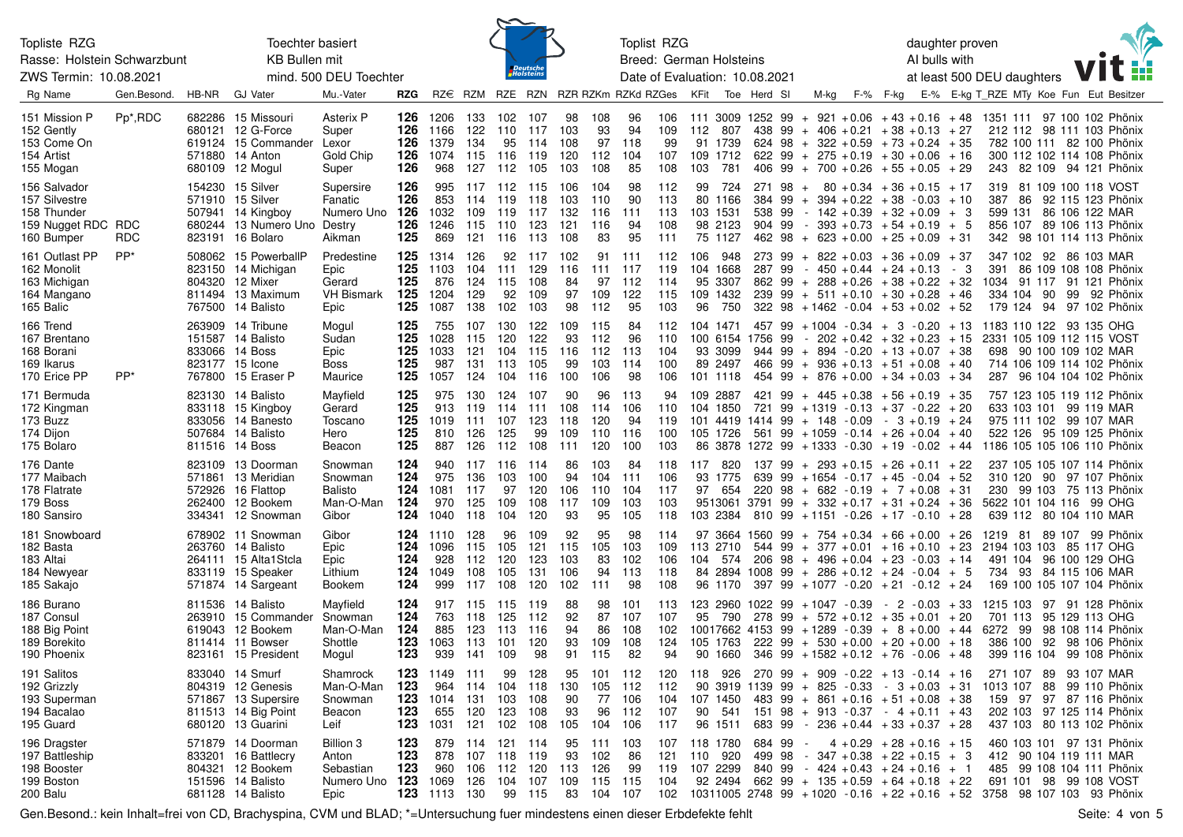| Topliste RZG<br>Toechter basiert<br>Rasse: Holstein Schwarzbunt                  |                      |       |                                                                                                           |                                                              |                                 |                                             |                                              |                                 |                                     |                                        |                                             | Toplist RZG                         |                                 |                                                        |                         |                            |          |      |                                                                                                                                                                                                         |          | daughter proven            |                               |                       |    |                                                                                                                                                                                                                       | $\sqrt{2}$ |
|----------------------------------------------------------------------------------|----------------------|-------|-----------------------------------------------------------------------------------------------------------|--------------------------------------------------------------|---------------------------------|---------------------------------------------|----------------------------------------------|---------------------------------|-------------------------------------|----------------------------------------|---------------------------------------------|-------------------------------------|---------------------------------|--------------------------------------------------------|-------------------------|----------------------------|----------|------|---------------------------------------------------------------------------------------------------------------------------------------------------------------------------------------------------------|----------|----------------------------|-------------------------------|-----------------------|----|-----------------------------------------------------------------------------------------------------------------------------------------------------------------------------------------------------------------------|------------|
|                                                                                  |                      |       | <b>KB Bullen mit</b>                                                                                      |                                                              |                                 |                                             |                                              |                                 | Deutsch<br>Holstein                 |                                        |                                             | Breed: German Holsteins             |                                 |                                                        |                         |                            |          |      |                                                                                                                                                                                                         |          | AI bulls with              |                               |                       |    |                                                                                                                                                                                                                       |            |
| ZWS Termin: 10.08.2021                                                           |                      |       |                                                                                                           | mind. 500 DEU Toechter                                       |                                 |                                             |                                              |                                 |                                     |                                        |                                             | Date of Evaluation: 10.08.2021      |                                 |                                                        |                         |                            |          |      |                                                                                                                                                                                                         |          | at least 500 DEU daughters |                               |                       |    |                                                                                                                                                                                                                       |            |
| Rg Name                                                                          | Gen Besond.          | HB-NR | <b>GJ Vater</b>                                                                                           | Mu.-Vater                                                    | <b>RZG</b>                      |                                             |                                              |                                 |                                     |                                        |                                             | RZ€ RZM RZE RZN RZR RZKm RZKd RZGes |                                 | KFit                                                   |                         | Toe Herd SI                |          | M-kg |                                                                                                                                                                                                         | F-% F-kg |                            |                               |                       |    | E-% E-kg T RZE MTy Koe Fun Eut Besitzer                                                                                                                                                                               |            |
| 151 Mission P<br>152 Gently<br>153 Come On<br>154 Artist<br>155 Mogan            | Pp <sup>*</sup> ,RDC |       | 682286 15 Missouri<br>680121 12 G-Force<br>619124 15 Commander<br>571880 14 Anton<br>680109 12 Mogul      | Asterix P<br>Super<br>Lexor<br>Gold Chip<br>Super            | 126<br>126<br>126<br>126<br>126 | 1206<br>1166<br>1379<br>1074 115 116<br>968 | 133<br>122<br>134<br>127                     | 102<br>110<br>95<br>112         | 107<br>117<br>114<br>119<br>105     | 98<br>103<br>108<br>120<br>103         | 108<br>93<br>97<br>112<br>108               | 96<br>94<br>118<br>104<br>85        | 106<br>109<br>99<br>107<br>108  | 111 3009 1252 99<br>112<br>91 1739<br>109 1712<br>103  | 807<br>781              |                            |          |      | $+$ 921 + 0.06 + 43 + 0.16 + 48<br>$438$ 99 + 406 + 0.21 + 38 + 0.13 + 27<br>$624$ 98 + 322 + 0.59 + 73 + 0.24 + 35<br>$622$ 99 + 275 + 0.19 + 30 + 0.06 + 16<br>$406$ 99 + 700 + 0.26 + 55 + 0.05 + 29 |          |                            |                               |                       |    | 1351 111 97 100 102 Phönix<br>212 112 98 111 103 Phönix<br>782 100 111 82 100 Phönix<br>300 112 102 114 108 Phönix<br>243 82 109 94 121 Phönix                                                                        |            |
| 156 Salvador<br>157 Silvestre<br>158 Thunder<br>159 Nugget RDC RDC<br>160 Bumper | <b>RDC</b>           |       | 154230 15 Silver<br>571910 15 Silver<br>507941 14 Kingboy<br>680244 13 Numero Uno<br>823191 16 Bolaro     | Supersire<br>Fanatic<br>Numero Uno<br>Destry<br>Aikman       | 126<br>126<br>126<br>126<br>125 | 995<br>853<br>1032<br>1246<br>869           | 117 112<br>114<br>109<br>115<br>121          | 119<br>119<br>110<br>116        | 115<br>118<br>117<br>123<br>113     | 106<br>103<br>132<br>121<br>108        | 104<br>110<br>116<br>116<br>83              | 98<br>90<br>111<br>94<br>95         | 112<br>113<br>113<br>108<br>111 | 99<br>80 1166<br>103 1531<br>98 2123<br>75 1127        | 724                     | 271 98<br>538 99<br>904 99 | $+$      |      | $80 + 0.34 + 36 + 0.15$<br>$384$ 99 + 394 + 0.22 + 38 - 0.03<br>$-142 + 0.39 + 32 + 0.09$<br>$-393 + 0.73 + 54 + 0.19 + 5$<br>$462$ $98 + 623 + 0.00 + 25 + 0.09$                                       |          |                            | $+17$<br>$+10$<br>+ 3<br>+ 31 | 387<br>599 131<br>342 | 86 | 319 81 109 100 118 VOST<br>92 115 123 Phönix<br>86 106 122 MAR<br>856 107 89 106 113 Phönix<br>98 101 114 113 Phönix                                                                                                  |            |
| 161 Outlast PP<br>162 Monolit<br>163 Michigan<br>164 Mangano<br>165 Balic        | $PP^*$               |       | 508062 15 PowerballP<br>823150 14 Michigan<br>804320 12 Mixer<br>811494 13 Maximum<br>767500 14 Balisto   | Predestine<br>Epic<br>Gerard<br><b>VH Bismark</b><br>Epic    | 125<br>125<br>125<br>125<br>125 | 1314<br>1103<br>876<br>1204<br>1087         | 126<br>104<br>124<br>129<br>138              | 92<br>111<br>115<br>92<br>102   | 117<br>129<br>108<br>109<br>103     | 102<br>116<br>84<br>97<br>98           | 91<br>111<br>97<br>109<br>112               | 111<br>117<br>112<br>122<br>95      | 112<br>119<br>114<br>115<br>103 | 106<br>104 1668<br>95 3307<br>109 1432<br>96           | 948<br>750              | 273 99<br>287 99           |          |      | $+ 822 + 0.03 + 36 + 0.09 + 37$<br>$-450 + 0.44 + 24 + 0.13$<br>$862$ 99 + 288 + 0.26 + 38 + 0.22 + 32<br>$239$ 99 + 511 + 0.10 + 30 + 0.28 + 46<br>$322$ 98 + 1462 - 0.04 + 53 + 0.02 + 52             |          |                            | - 3                           | 391                   |    | 347 102 92 86 103 MAR<br>86 109 108 108 Phönix<br>1034 91 117 91 121 Phönix<br>334 104 90 99 92 Phönix<br>179 124 94 97 102 Phönix                                                                                    |            |
| 166 Trend<br>167 Brentano<br>168 Borani<br>169 Ikarus<br>170 Erice PP            | PP*                  |       | 263909 14 Tribune<br>151587 14 Balisto<br>833066 14 Boss<br>823177 15 Icone<br>767800 15 Eraser P         | Mogul<br>Sudan<br>Epic<br>Boss<br>Maurice                    | 125<br>125<br>125<br>125<br>125 | 755<br>1028<br>1033<br>987<br>1057          | 107<br>115<br>121<br>131<br>124 104          | 130<br>120<br>104<br>113        | 122<br>122<br>115<br>105<br>116     | 109<br>93<br>116<br>99<br>100          | 115<br>112<br>112<br>103<br>106             | 84<br>96<br>113<br>114<br>98        | 112<br>110<br>104<br>100<br>106 | 104 1471<br>100 6154<br>93 3099<br>89 2497<br>101 1118 |                         | 1756 99                    |          |      | $457$ 99 + 1004 - 0.34 + 3 - 0.20 + 13<br>$-202 + 0.42 + 32 + 0.23$<br>$944$ $99 + 894 - 0.20 + 13 + 0.07 + 38$<br>$466$ 99 + 936 + 0.13 + 51 + 0.08 + 40<br>$454$ 99 + 876 + 0.00 + 34 + 0.03 + 34     |          |                            | + 15                          |                       |    | 1183 110 122 93 135 OHG<br>2331 105 109 112 115 VOST<br>698 90 100 109 102 MAR<br>714 106 109 114 102 Phönix<br>287 96 104 104 102 Phönix                                                                             |            |
| 171 Bermuda<br>172 Kingman<br>173 Buzz<br>174 Dijon<br>175 Bolaro                |                      |       | 823130 14 Balisto<br>833118 15 Kingboy<br>833056 14 Banesto<br>507684 14 Balisto<br>811516 14 Boss        | Mayfield<br>Gerard<br>Toscano<br>Hero<br>Beacon              | 125<br>125<br>125<br>125<br>125 | 975<br>913<br>1019<br>810<br>887            | 130<br>119<br>111<br>126<br>126              | 124<br>114<br>107<br>125<br>112 | 107<br>111<br>123<br>99<br>108      | 90<br>108<br>118<br>109<br>111         | 96<br>114<br>120<br>110<br>120              | 113<br>106<br>94<br>116<br>100      | 94<br>110<br>119<br>100<br>103  | 109 2887<br>104 1850<br>101 4419<br>105 1726           |                         | 421<br>721                 | 99<br>99 |      | $+ 445 + 0.38 + 56 + 0.19 + 35$<br>$+1319 - 0.13 + 37 - 0.22 + 20$<br>$1414$ 99 + 148 - 0.09 - 3 + 0.19 + 24<br>$561$ 99 + 1059 - 0.14 + 26 + 0.04 + 40                                                 |          |                            |                               |                       |    | 757 123 105 119 112 Phönix<br>633 103 101 99 119 MAR<br>975 111 102 99 107 MAR<br>522 126 95 109 125 Phönix<br>86 3878 1272 99 + 1333 - 0.30 + 19 - 0.02 + 44 1186 105 105 106 110 Phönix                             |            |
| 176 Dante<br>177 Maibach<br>178 Flatrate<br>179 Boss<br>180 Sansiro              |                      |       | 823109 13 Doorman<br>571861 13 Meridian<br>572926 16 Flattop<br>262400 12 Bookem<br>334341 12 Snowman     | Snowman<br>Snowman<br>Balisto<br>Man-O-Man<br>Gibor          | 124<br>124<br>124<br>124<br>124 | 940<br>975<br>1081<br>970<br>1040           | 117 116<br>136<br>117<br>125<br>118          | 103<br>97<br>109<br>104         | 114<br>100<br>120<br>108<br>120     | 86<br>94<br>106<br>117<br>93           | 103<br>104<br>110<br>109<br>95              | 84<br>111<br>104<br>103<br>105      | 118<br>106<br>117<br>103<br>118 | 117<br>93 1775<br>97<br>103 2384                       | 820<br>654              | 137 99<br>810 99           |          |      | $+ 293 + 0.15 + 26 + 0.11 + 22$<br>639 99 + 1654 - 0.17 + 45 - 0.04 + 52<br>$220$ 98 + 682 - 0.19 + 7 + 0.08 + 31<br>$9513061$ 3791 99 + 332 + 0.17 + 31 + 0.24 + 36<br>$+1151 - 0.26 + 17 - 0.10 + 28$ |          |                            |                               |                       |    | 237 105 105 107 114 Phönix<br>310 120 90 97 107 Phönix<br>230 99 103 75 113 Phönix<br>5622 101 104 116 99 OHG<br>639 112 80 104 110 MAR                                                                               |            |
| 181 Snowboard<br>182 Basta<br>183 Altai<br>184 Newyear<br>185 Sakajo             |                      |       | 678902 11 Snowman<br>263760 14 Balisto<br>264111 15 Alta1Stcla<br>833119 15 Speaker<br>571874 14 Sargeant | Gibor<br>Epic<br>Epic<br>Lithium<br>Bookem                   | 124<br>124<br>124<br>124<br>124 | 1110<br>1096<br>928<br>1049<br>999          | 128<br>115<br>112<br>108<br>117              | 96<br>105<br>120<br>105<br>108  | 109<br>121<br>123<br>131<br>120     | 92<br>115<br>103<br>106<br>102         | 95<br>105<br>83<br>94<br>111                | 98<br>103<br>102<br>113<br>98       | 114<br>109<br>106<br>118<br>108 | 97 3664<br>113 2710<br>104 574<br>84 2894<br>96 1170   |                         | 1560 99                    |          |      | $+ 754 + 0.34 + 66 + 0.00 + 26$<br>$206$ 98 + 496 + 0.04 + 23 - 0.03 + 14<br>$1008$ 99 + 286 + 0.12 + 24 - 0.04 + 5<br>$397$ $99$ $+1077$ $-0.20$ $+21$ $-0.12$ $+24$                                   |          |                            |                               | 1219 81<br>734        |    | 89 107 99 Phönix<br>544 99 + 377 + 0.01 + 16 + 0.10 + 23 2194 103 103 85 117 OHG<br>491 104 96 100 129 OHG<br>93 84 115 106 MAR<br>169 100 105 107 104 Phönix                                                         |            |
| 186 Burano<br>187 Consul<br>188 Big Point<br>189 Borekito<br>190 Phoenix         |                      |       | 811536 14 Balisto<br>263910 15 Commander<br>619043 12 Bookem<br>811414 11 Bowser<br>823161 15 President   | Mayfield<br>Snowman<br>Man-O-Man<br>Shottle<br>Mogul         | 124<br>124<br>124<br>123        | 763<br>123 1063 113 101 120                 | 917 115<br>118<br>885 123 113<br>939 141 109 | 115<br>125                      | 119<br>112<br>- 116<br>98           | 88<br>92<br>94<br>93<br>91             | 98<br>87<br>86<br>109<br>115                | 101<br>107<br>108<br>108<br>82      | 113<br>107<br>102<br>124<br>94  | 95                                                     | 123 2960 1022 99<br>790 | 278                        | 99       |      | + 1047 - 0.39<br>$+ 572 + 0.12 + 35 + 0.01 + 20$<br>90 1660 346 99 + 1582 + 0.12 + 76 - 0.06 + 48                                                                                                       |          | $-2$ $-0.03$ $+33$         |                               | 1215 103<br>701 113   |    | 97 91 128 Phönix<br>95 129 113 OHG<br>10017662 4153 99 + 1289 - 0.39 + 8 + 0.00 + 44 6272 99 98 108 114 Phönix<br>105 1763 222 99 + 530 + 0.00 + 20 + 0.00 + 18 386 100 92 98 106 Phönix<br>399 116 104 99 108 Phönix |            |
| 191 Salitos<br>192 Grizzly<br>193 Superman<br>194 Bacalao<br>195 Guard           |                      |       | 833040 14 Smurf<br>804319 12 Genesis<br>571867 13 Supersire<br>811513 14 Big Point<br>680120 13 Guarini   | Shamrock<br>Man-O-Man<br>Snowman<br>Beacon<br>Leif           | 123<br>123<br>123<br>123<br>123 | 1149 111<br>1014 131 103<br>1031 121 102    | 964 114 104<br>655 120 123                   | 99                              | 128<br>118 130<br>108<br>108<br>108 | 95<br>90<br>93<br>105                  | 101<br>105 112<br>96<br>104 106             | 112<br>77 106<br>112                | 120<br>112<br>104<br>107<br>117 | 118<br>90 541<br>96 1511                               | 926                     |                            |          |      | $270$ 99 + 909 - 0.22 + 13 - 0.14 + 16<br>$107$ 1450 483 99 + 861 + 0.16 + 51 + 0.08 + 38<br>$151 \t 98 + 913 \t -0.37 \t - 4 \t +0.11 \t +43$<br>683 99 - 236 + 0.44 + 33 + 0.37 + 28                  |          |                            |                               |                       |    | 271 107 89 93 107 MAR<br>90 3919 1139 99 + 825 - 0.33 - 3 + 0.03 + 31 1013 107 88 99 110 Phönix<br>159 97 97 87 116 Phönix<br>202 103 97 125 114 Phönix<br>437 103 80 113 102 Phönix                                  |            |
| 196 Dragster<br>197 Battleship<br>198 Booster<br>199 Boston<br>200 Balu          |                      |       | 571879 14 Doorman<br>833201 16 Battlecry<br>804321 12 Bookem<br>151596 14 Balisto<br>681128 14 Balisto    | <b>Billion 3</b><br>Anton<br>Sebastian<br>Numero Uno<br>Epic | 123<br>123<br>123<br>123        | 1069 126<br><b>123</b> 1113 130             | 878 107 118<br>960 106 112                   | 879 114 121 114<br>104          | 119<br>99 115                       | 95<br>93<br>120 113<br>107 109<br>- 83 | 111 103<br>102<br>126<br>115 115<br>104 107 | 86<br>99                            | 107<br>121<br>119<br>104<br>102 | 118 1780<br>110 920<br>107 2299                        |                         | 684 99 -                   |          |      | $4 + 0.29 + 28 + 0.16 + 15$<br>$499$ $98 - 347 + 0.38 + 22 + 0.15 + 3$<br>$840$ 99 - 424 + 0.43 + 24 + 0.16 + 1<br>$92\ 2494\ 662\ 99 + 135 + 0.59 + 64 + 0.18 + 22$                                    |          |                            |                               |                       |    | 460 103 101 97 131 Phönix<br>412 90 104 119 111 MAR<br>485 99 108 104 111 Phönix<br>691 101 98 99 108 VOST<br>10311005 2748 99 + 1020 - 0.16 + 22 + 0.16 + 52 3758 98 107 103 93 Phönix                               |            |

Gen.Besond.: kein Inhalt=frei von CD, Brachyspina, CVM und BLAD; \*=Untersuchung fuer mindestens einen dieser Erbdefekte fehlt